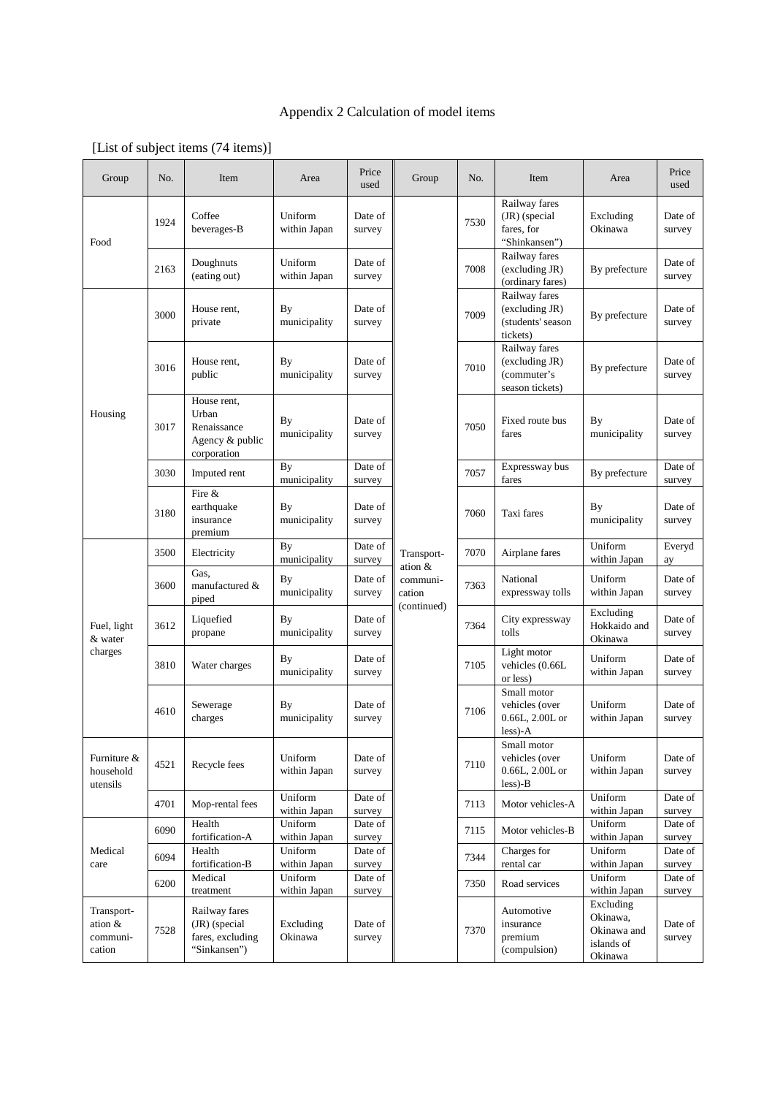## Appendix 2 Calculation of model items

| Group                                       | No.  | Item                                                                  | Area                      | Price<br>used     | Group                                                      | No.  | Item                                                              | Area                                                          | Price<br>used     |
|---------------------------------------------|------|-----------------------------------------------------------------------|---------------------------|-------------------|------------------------------------------------------------|------|-------------------------------------------------------------------|---------------------------------------------------------------|-------------------|
| Food                                        | 1924 | Coffee<br>beverages-B                                                 | Uniform<br>within Japan   | Date of<br>survey | Transport-<br>ation &<br>communi-<br>cation<br>(continued) | 7530 | Railway fares<br>(JR) (special<br>fares, for<br>"Shinkansen")     | Excluding<br>Okinawa                                          | Date of<br>survey |
|                                             | 2163 | Doughnuts<br>(eating out)                                             | Uniform<br>within Japan   | Date of<br>survey |                                                            | 7008 | Railway fares<br>(excluding JR)<br>(ordinary fares)               | By prefecture                                                 | Date of<br>survey |
| Housing                                     | 3000 | House rent,<br>private                                                | By<br>municipality        | Date of<br>survey |                                                            | 7009 | Railway fares<br>(excluding JR)<br>(students' season<br>tickets)  | By prefecture                                                 | Date of<br>survey |
|                                             | 3016 | House rent,<br>public                                                 | By<br>municipality        | Date of<br>survey |                                                            | 7010 | Railway fares<br>(excluding JR)<br>(commuter's<br>season tickets) | By prefecture                                                 | Date of<br>survey |
|                                             | 3017 | House rent,<br>Urban<br>Renaissance<br>Agency & public<br>corporation | By<br>municipality        | Date of<br>survey |                                                            | 7050 | Fixed route bus<br>fares                                          | By<br>municipality                                            | Date of<br>survey |
|                                             | 3030 | Imputed rent                                                          | By<br>municipality        | Date of<br>survey |                                                            | 7057 | Expressway bus<br>fares                                           | By prefecture                                                 | Date of<br>survey |
|                                             | 3180 | Fire &<br>earthquake<br>insurance<br>premium                          | By<br>municipality        | Date of<br>survey |                                                            | 7060 | Taxi fares                                                        | By<br>municipality                                            | Date of<br>survey |
| Fuel, light<br>& water<br>charges           | 3500 | Electricity                                                           | By<br>municipality        | Date of<br>survey |                                                            | 7070 | Airplane fares                                                    | Uniform<br>within Japan                                       | Everyd<br>ay      |
|                                             | 3600 | Gas.<br>manufactured &<br>piped                                       | By<br>municipality        | Date of<br>survey |                                                            | 7363 | National<br>expressway tolls                                      | Uniform<br>within Japan                                       | Date of<br>survey |
|                                             | 3612 | Liquefied<br>propane                                                  | <b>By</b><br>municipality | Date of<br>survey |                                                            | 7364 | City expressway<br>tolls                                          | Excluding<br>Hokkaido and<br>Okinawa                          | Date of<br>survey |
|                                             | 3810 | Water charges                                                         | By<br>municipality        | Date of<br>survey |                                                            | 7105 | Light motor<br>vehicles (0.66L<br>or less)                        | Uniform<br>within Japan                                       | Date of<br>survey |
|                                             | 4610 | Sewerage<br>charges                                                   | By<br>municipality        | Date of<br>survey |                                                            | 7106 | Small motor<br>vehicles (over<br>0.66L, 2.00L or<br>$less$ )-A    | Uniform<br>within Japan                                       | Date of<br>survey |
| Furniture &<br>household<br>utensils        | 4521 | Recycle fees                                                          | Uniform<br>within Japan   | Date of<br>survey |                                                            | 7110 | Small motor<br>vehicles (over<br>0.66L, 2.00L or<br>$less$ -B     | Uniform<br>within Japan                                       | Date of<br>survey |
|                                             | 4701 | Mop-rental fees                                                       | Uniform<br>within Japan   | Date of<br>survey |                                                            | 7113 | Motor vehicles-A                                                  | Uniform<br>within Japan                                       | Date of<br>survey |
| Medical<br>care                             | 6090 | Health<br>fortification-A                                             | Uniform<br>within Japan   | Date of<br>survey |                                                            | 7115 | Motor vehicles-B                                                  | Uniform<br>within Japan                                       | Date of<br>survey |
|                                             | 6094 | Health<br>fortification-B                                             | Uniform<br>within Japan   | Date of<br>survey |                                                            | 7344 | Charges for<br>rental car                                         | Uniform<br>within Japan                                       | Date of<br>survey |
|                                             | 6200 | Medical<br>treatment                                                  | Uniform<br>within Japan   | Date of<br>survey |                                                            | 7350 | Road services                                                     | Uniform<br>within Japan                                       | Date of<br>survey |
| Transport-<br>ation &<br>communi-<br>cation | 7528 | Railway fares<br>(JR) (special<br>fares, excluding<br>"Sinkansen")    | Excluding<br>Okinawa      | Date of<br>survey |                                                            | 7370 | Automotive<br>insurance<br>premium<br>(compulsion)                | Excluding<br>Okinawa,<br>Okinawa and<br>islands of<br>Okinawa | Date of<br>survey |

## [List of subject items (74 items)]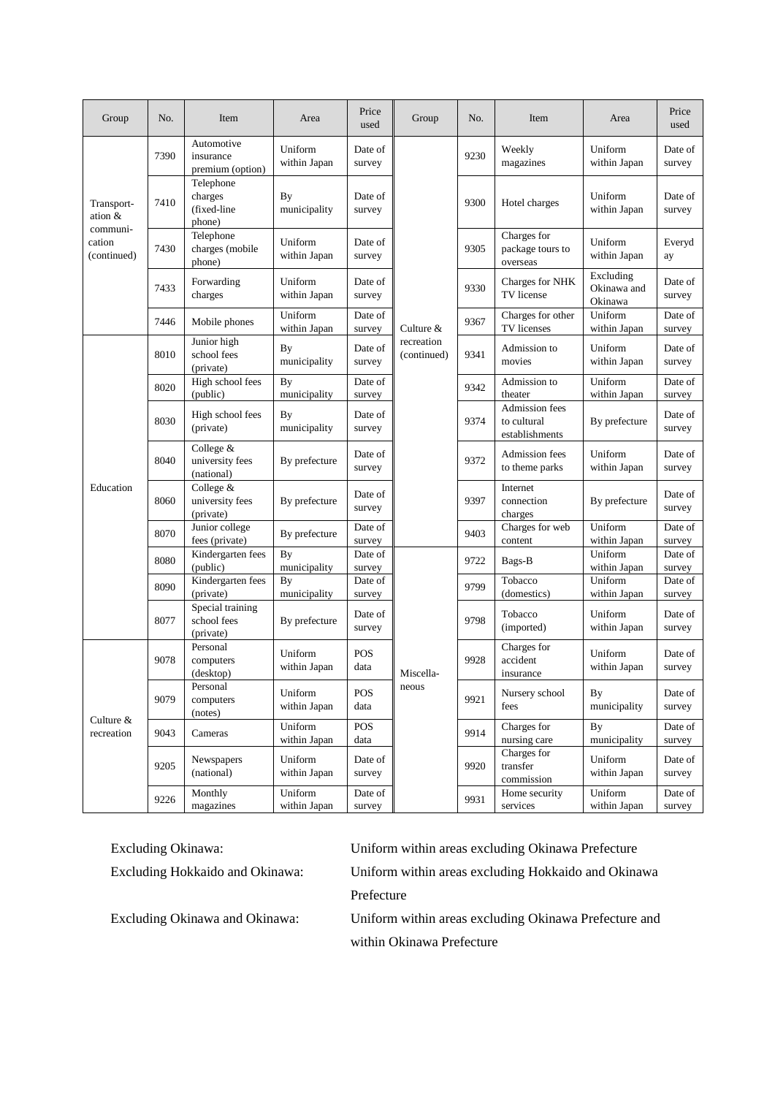| Group                                                        | No.  | Item                                          | Area                      | Price<br>used      | Group                                                        | No.  | Item                                                   | Area                                | Price<br>used     |
|--------------------------------------------------------------|------|-----------------------------------------------|---------------------------|--------------------|--------------------------------------------------------------|------|--------------------------------------------------------|-------------------------------------|-------------------|
| Transport-<br>ation $&$<br>communi-<br>cation<br>(continued) | 7390 | Automotive<br>insurance<br>premium (option)   | Uniform<br>within Japan   | Date of<br>survey  | Culture &<br>recreation<br>(continued)<br>Miscella-<br>neous | 9230 | Weekly<br>magazines                                    | Uniform<br>within Japan             | Date of<br>survey |
|                                                              | 7410 | Telephone<br>charges<br>(fixed-line<br>phone) | By<br>municipality        | Date of<br>survey  |                                                              | 9300 | Hotel charges                                          | Uniform<br>within Japan             | Date of<br>survey |
|                                                              | 7430 | Telephone<br>charges (mobile<br>phone)        | Uniform<br>within Japan   | Date of<br>survey  |                                                              | 9305 | Charges for<br>package tours to<br>overseas            | Uniform<br>within Japan             | Everyd<br>ay      |
|                                                              | 7433 | Forwarding<br>charges                         | Uniform<br>within Japan   | Date of<br>survey  |                                                              | 9330 | Charges for NHK<br>TV license                          | Excluding<br>Okinawa and<br>Okinawa | Date of<br>survey |
|                                                              | 7446 | Mobile phones                                 | Uniform<br>within Japan   | Date of<br>survey  |                                                              | 9367 | Charges for other<br>TV licenses                       | Uniform<br>within Japan             | Date of<br>survey |
| Education                                                    | 8010 | Junior high<br>school fees<br>(private)       | By<br>municipality        | Date of<br>survey  |                                                              | 9341 | Admission to<br>movies                                 | Uniform<br>within Japan             | Date of<br>survey |
|                                                              | 8020 | High school fees<br>(public)                  | <b>By</b><br>municipality | Date of<br>survey  |                                                              | 9342 | Admission to<br>theater                                | Uniform<br>within Japan             | Date of<br>survey |
|                                                              | 8030 | High school fees<br>(private)                 | By<br>municipality        | Date of<br>survey  |                                                              | 9374 | <b>Admission</b> fees<br>to cultural<br>establishments | By prefecture                       | Date of<br>survey |
|                                                              | 8040 | College &<br>university fees<br>(national)    | By prefecture             | Date of<br>survey  |                                                              | 9372 | Admission fees<br>to theme parks                       | Uniform<br>within Japan             | Date of<br>survey |
|                                                              | 8060 | College &<br>university fees<br>(private)     | By prefecture             | Date of<br>survey  |                                                              | 9397 | Internet<br>connection<br>charges                      | By prefecture                       | Date of<br>survey |
|                                                              | 8070 | Junior college<br>fees (private)              | By prefecture             | Date of<br>survey  |                                                              | 9403 | Charges for web<br>content                             | Uniform<br>within Japan             | Date of<br>survey |
|                                                              | 8080 | Kindergarten fees<br>(public)                 | By<br>municipality        | Date of<br>survey  |                                                              | 9722 | Bags-B                                                 | Uniform<br>within Japan             | Date of<br>survey |
|                                                              | 8090 | Kindergarten fees<br>(private)                | By<br>municipality        | Date of<br>survey  |                                                              | 9799 | Tobacco<br>(domestics)                                 | Uniform<br>within Japan             | Date of<br>survey |
|                                                              | 8077 | Special training<br>school fees<br>(private)  | By prefecture             | Date of<br>survey  |                                                              | 9798 | Tobacco<br>(imported)                                  | Uniform<br>within Japan             | Date of<br>survey |
| Culture &<br>recreation                                      | 9078 | Personal<br>computers<br>(desktop)            | Uniform<br>within Japan   | POS<br>data        |                                                              | 9928 | Charges for<br>accident<br>insurance                   | Uniform<br>within Japan             | Date of<br>survey |
|                                                              | 9079 | Personal<br>computers<br>(notes)              | Uniform<br>within Japan   | <b>POS</b><br>data |                                                              | 9921 | Nursery school<br>fees                                 | By<br>municipality                  | Date of<br>survey |
|                                                              | 9043 | Cameras                                       | Uniform<br>within Japan   | <b>POS</b><br>data |                                                              | 9914 | Charges for<br>nursing care                            | By<br>municipality                  | Date of<br>survey |
|                                                              | 9205 | Newspapers<br>(national)                      | Uniform<br>within Japan   | Date of<br>survey  |                                                              | 9920 | Charges for<br>transfer<br>commission                  | Uniform<br>within Japan             | Date of<br>survey |
|                                                              | 9226 | Monthly<br>magazines                          | Uniform<br>within Japan   | Date of<br>survey  |                                                              | 9931 | Home security<br>services                              | Uniform<br>within Japan             | Date of<br>survey |

Excluding Okinawa: Uniform within areas excluding Okinawa Prefecture Excluding Hokkaido and Okinawa: Uniform within areas excluding Hokkaido and Okinawa Prefecture

Excluding Okinawa and Okinawa: Uniform within areas excluding Okinawa Prefecture and within Okinawa Prefecture